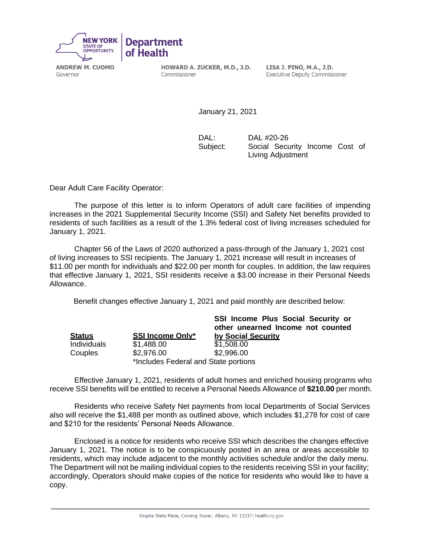

Governor

HOWARD A. ZUCKER, M.D., J.D. LISA J. PINO, M.A., J.D. Commissioner

**Executive Deputy Commissioner** 

January 21, 2021

DAL: DAL #20-26 Subject: Social Security Income Cost of Living Adjustment

Dear Adult Care Facility Operator:

The purpose of this letter is to inform Operators of adult care facilities of impending increases in the 2021 Supplemental Security Income (SSI) and Safety Net benefits provided to residents of such facilities as a result of the 1.3% federal cost of living increases scheduled for January 1, 2021.

Chapter 56 of the Laws of 2020 authorized a pass-through of the January 1, 2021 cost of living increases to SSI recipients. The January 1, 2021 increase will result in increases of \$11.00 per month for individuals and \$22.00 per month for couples. In addition, the law requires that effective January 1, 2021, SSI residents receive a \$3.00 increase in their Personal Needs Allowance.

Benefit changes effective January 1, 2021 and paid monthly are described below:

|               |                                      | SSI Income Plus Social Security or<br>other unearned Income not counted |  |
|---------------|--------------------------------------|-------------------------------------------------------------------------|--|
| <b>Status</b> | <b>SSI Income Only*</b>              | by Social Security                                                      |  |
| Individuals   | \$1,488.00                           | \$1,508.00                                                              |  |
| Couples       | \$2,976.00                           | \$2,996.00                                                              |  |
|               | *Includes Federal and State portions |                                                                         |  |

Effective January 1, 2021, residents of adult homes and enriched housing programs who receive SSI benefits will be entitled to receive a Personal Needs Allowance of **\$210.00** per month.

Residents who receive Safety Net payments from local Departments of Social Services also will receive the \$1,488 per month as outlined above, which includes \$1,278 for cost of care and \$210 for the residents' Personal Needs Allowance.

Enclosed is a notice for residents who receive SSI which describes the changes effective January 1, 2021. The notice is to be conspicuously posted in an area or areas accessible to residents, which may include adjacent to the monthly activities schedule and/or the daily menu. The Department will not be mailing individual copies to the residents receiving SSI in your facility; accordingly, Operators should make copies of the notice for residents who would like to have a copy.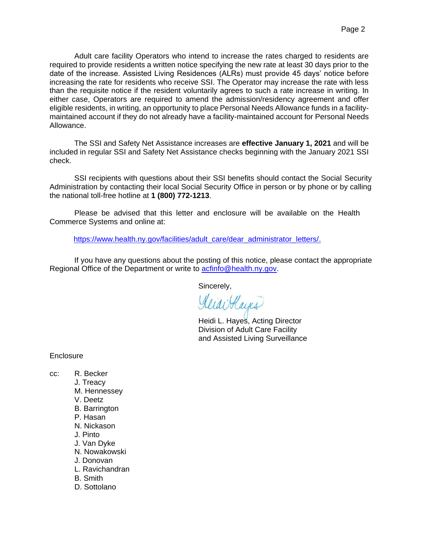Adult care facility Operators who intend to increase the rates charged to residents are required to provide residents a written notice specifying the new rate at least 30 days prior to the date of the increase. Assisted Living Residences (ALRs) must provide 45 days' notice before increasing the rate for residents who receive SSI. The Operator may increase the rate with less than the requisite notice if the resident voluntarily agrees to such a rate increase in writing. In either case, Operators are required to amend the admission/residency agreement and offer eligible residents, in writing, an opportunity to place Personal Needs Allowance funds in a facilitymaintained account if they do not already have a facility-maintained account for Personal Needs Allowance.

The SSI and Safety Net Assistance increases are **effective January 1, 2021** and will be included in regular SSI and Safety Net Assistance checks beginning with the January 2021 SSI check.

SSI recipients with questions about their SSI benefits should contact the Social Security Administration by contacting their local Social Security Office in person or by phone or by calling the national toll-free hotline at **1 (800) 772-1213**.

Please be advised that this letter and enclosure will be available on the Health Commerce Systems and online at:

[https://www.health.ny.gov/facilities/adult\\_care/dear\\_administrator\\_letters/.](https://www.health.ny.gov/facilities/adult_care/dear_administrator_letters/)

If you have any questions about the posting of this notice, please contact the appropriate Regional Office of the Department or write to **acfinfo@health.ny.gov**.

Sincerely,

KlidiHays

Heidi L. Hayes, Acting Director Division of Adult Care Facility and Assisted Living Surveillance

**Enclosure** 

- cc: R. Becker
	- J. Treacy
	- M. Hennessey
	- V. Deetz
	- B. Barrington
	- P. Hasan
	- N. Nickason
	- J. Pinto
	- J. Van Dyke
	- N. Nowakowski
	- J. Donovan
	- L. Ravichandran
	- B. Smith
	- D. Sottolano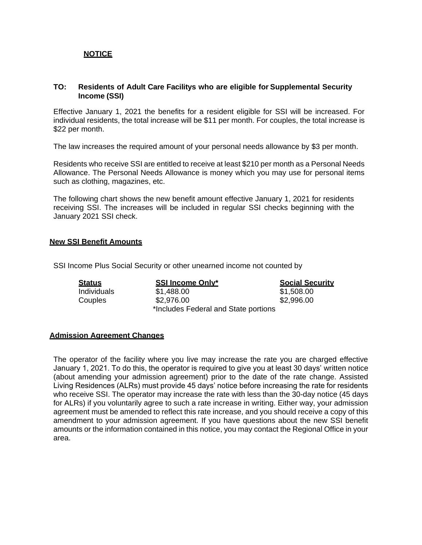# **NOTICE**

## **TO: Residents of Adult Care Facilitys who are eligible for Supplemental Security Income (SSI)**

Effective January 1, 2021 the benefits for a resident eligible for SSI will be increased. For individual residents, the total increase will be \$11 per month. For couples, the total increase is \$22 per month.

The law increases the required amount of your personal needs allowance by \$3 per month.

Residents who receive SSI are entitled to receive at least \$210 per month as a Personal Needs Allowance. The Personal Needs Allowance is money which you may use for personal items such as clothing, magazines, etc.

The following chart shows the new benefit amount effective January 1, 2021 for residents receiving SSI. The increases will be included in regular SSI checks beginning with the January 2021 SSI check.

### **New SSI Benefit Amounts**

SSI Income Plus Social Security or other unearned income not counted by

| <b>Status</b> | <b>SSI Income Only*</b>              | <b>Social Security</b> |
|---------------|--------------------------------------|------------------------|
| Individuals   | \$1,488.00                           | \$1,508.00             |
| Couples       | \$2,976.00                           | \$2,996.00             |
|               | *Includes Federal and State portions |                        |

#### **Admission Agreement Changes**

The operator of the facility where you live may increase the rate you are charged effective January 1, 2021. To do this, the operator is required to give you at least 30 days' written notice (about amending your admission agreement) prior to the date of the rate change. Assisted Living Residences (ALRs) must provide 45 days' notice before increasing the rate for residents who receive SSI. The operator may increase the rate with less than the 30-day notice (45 days for ALRs) if you voluntarily agree to such a rate increase in writing. Either way, your admission agreement must be amended to reflect this rate increase, and you should receive a copy of this amendment to your admission agreement. If you have questions about the new SSI benefit amounts or the information contained in this notice, you may contact the Regional Office in your area.